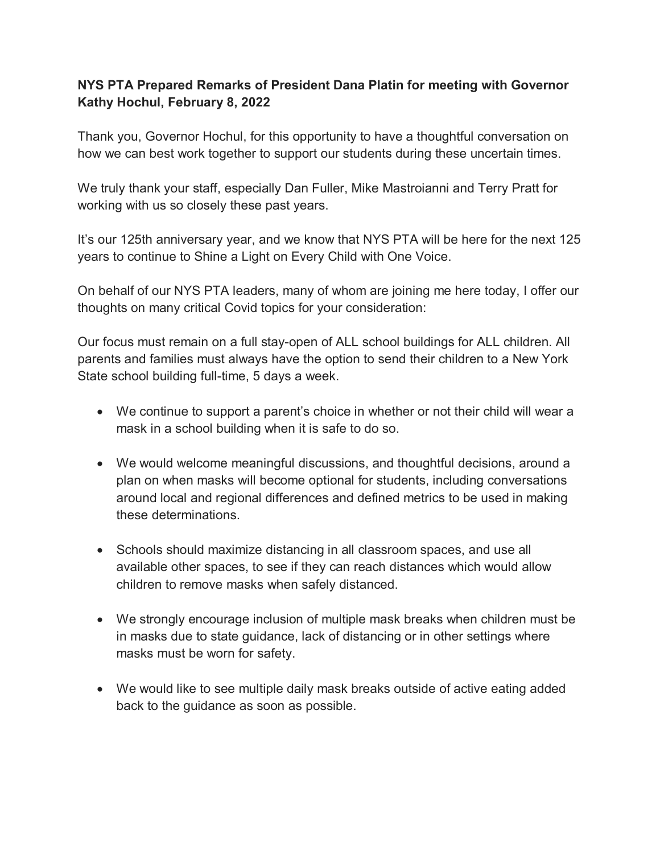## **NYS PTA Prepared Remarks of President Dana Platin for meeting with Governor Kathy Hochul, February 8, 2022**

Thank you, Governor Hochul, for this opportunity to have a thoughtful conversation on how we can best work together to support our students during these uncertain times.

We truly thank your staff, especially Dan Fuller, Mike Mastroianni and Terry Pratt for working with us so closely these past years.

It's our 125th anniversary year, and we know that NYS PTA will be here for the next 125 years to continue to Shine a Light on Every Child with One Voice.

On behalf of our NYS PTA leaders, many of whom are joining me here today, I offer our thoughts on many critical Covid topics for your consideration:

Our focus must remain on a full stay-open of ALL school buildings for ALL children. All parents and families must always have the option to send their children to a New York State school building full-time, 5 days a week.

- We continue to support a parent's choice in whether or not their child will wear a mask in a school building when it is safe to do so.
- We would welcome meaningful discussions, and thoughtful decisions, around a plan on when masks will become optional for students, including conversations around local and regional differences and defined metrics to be used in making these determinations.
- Schools should maximize distancing in all classroom spaces, and use all available other spaces, to see if they can reach distances which would allow children to remove masks when safely distanced.
- We strongly encourage inclusion of multiple mask breaks when children must be in masks due to state guidance, lack of distancing or in other settings where masks must be worn for safety.
- We would like to see multiple daily mask breaks outside of active eating added back to the guidance as soon as possible.